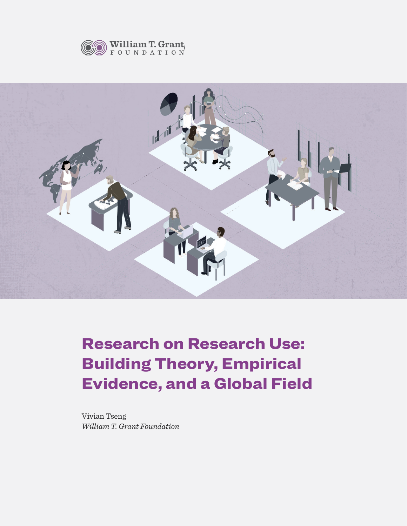



# Research on Research Use: Building Theory, Empirical Evidence, and a Global Field

Vivian Tseng *William T. Grant Foundation*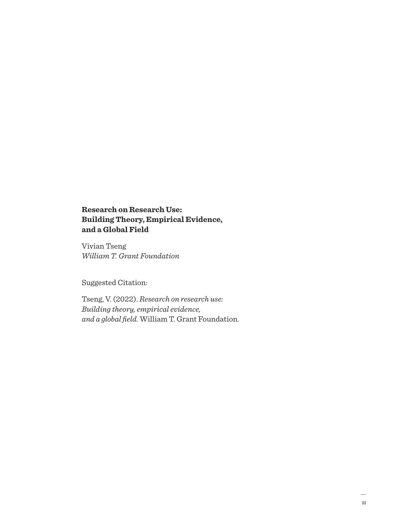# **Research on Research Use: Building Theory, Empirical Evidence, and a Global Field**

Vivian Tseng *William T. Grant Foundation*

Suggested Citation:

Tseng, V. (2022). *Research on research use: Building theory, empirical evidence, and a global field.* William T. Grant Foundation.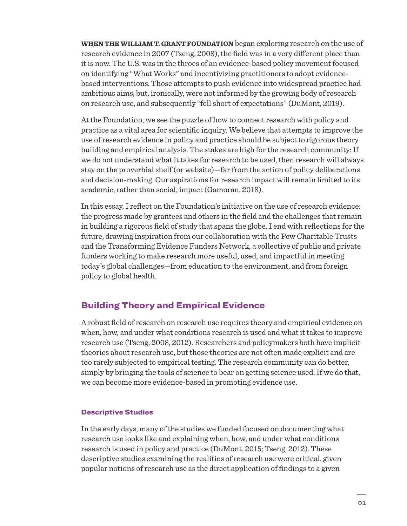**WHEN THE WILLIAM T. GRANT FOUNDATION** began exploring research on the use of research evidence in 2007 (Tseng, 2008), the field was in a very different place than it is now. The U.S. was in the throes of an evidence-based policy movement focused on identifying "What Works" and incentivizing practitioners to adopt evidencebased interventions. Those attempts to push evidence into widespread practice had ambitious aims, but, ironically, were not informed by the growing body of research on research use, and subsequently "fell short of expectations" (DuMont, 2019).

At the Foundation, we see the puzzle of how to connect research with policy and practice as a vital area for scientific inquiry. We believe that attempts to improve the use of research evidence in policy and practice should be subject to rigorous theory building and empirical analysis. The stakes are high for the research community: If we do not understand what it takes for research to be used, then research will always stay on the proverbial shelf (or website)—far from the action of policy deliberations and decision-making. Our aspirations for research impact will remain limited to its academic, rather than social, impact (Gamoran, 2018).

In this essay, I reflect on the Foundation's initiative on the use of research evidence: the progress made by grantees and others in the field and the challenges that remain in building a rigorous field of study that spans the globe. I end with reflections for the future, drawing inspiration from our collaboration with the Pew Charitable Trusts and the Transforming Evidence Funders Network, a collective of public and private funders working to make research more useful, used, and impactful in meeting today's global challenges—from education to the environment, and from foreign policy to global health.

## Building Theory and Empirical Evidence

A robust field of research on research use requires theory and empirical evidence on when, how, and under what conditions research is used and what it takes to improve research use (Tseng, 2008, 2012). Researchers and policymakers both have implicit theories about research use, but those theories are not often made explicit and are too rarely subjected to empirical testing. The research community can do better, simply by bringing the tools of science to bear on getting science used. If we do that, we can become more evidence-based in promoting evidence use.

## Descriptive Studies

In the early days, many of the studies we funded focused on documenting what research use looks like and explaining when, how, and under what conditions research is used in policy and practice (DuMont, 2015; Tseng, 2012). These descriptive studies examining the realities of research use were critical, given popular notions of research use as the direct application of findings to a given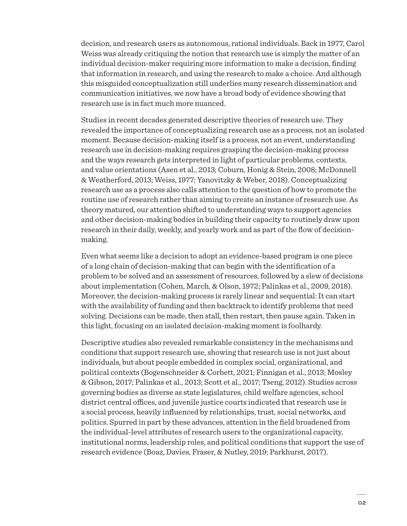decision, and research users as autonomous, rational individuals. Back in 1977, Carol Weiss was already critiquing the notion that research use is simply the matter of an individual decision-maker requiring more information to make a decision, finding that information in research, and using the research to make a choice. And although this misguided conceptualization still underlies many research dissemination and communication initiatives, we now have a broad body of evidence showing that research use is in fact much more nuanced.

Studies in recent decades generated descriptive theories of research use. They revealed the importance of conceptualizing research use as a process, not an isolated moment. Because decision-making itself is a process, not an event, understanding research use in decision-making requires grasping the decision-making process and the ways research gets interpreted in light of particular problems, contexts, and value orientations (Asen et al., 2013; Coburn, Honig & Stein, 2008; McDonnell & Weatherford, 2013; Weiss, 1977; Yanovitzky & Weber, 2018). Conceptualizing research use as a process also calls attention to the question of how to promote the routine use of research rather than aiming to create an instance of research use. As theory matured, our attention shifted to understanding ways to support agencies and other decision-making bodies in building their capacity to routinely draw upon research in their daily, weekly, and yearly work and as part of the flow of decisionmaking.

Even what seems like a decision to adopt an evidence-based program is one piece of a long chain of decision-making that can begin with the identification of a problem to be solved and an assessment of resources, followed by a slew of decisions about implementation (Cohen, March, & Olson, 1972; Palinkas et al., 2009, 2018). Moreover, the decision-making process is rarely linear and sequential: It can start with the availability of funding and then backtrack to identify problems that need solving. Decisions can be made, then stall, then restart, then pause again. Taken in this light, focusing on an isolated decision-making moment is foolhardy.

Descriptive studies also revealed remarkable consistency in the mechanisms and conditions that support research use, showing that research use is not just about individuals, but about people embedded in complex social, organizational, and political contexts (Bogenschneider & Corbett, 2021; Finnigan et al., 2013; Mosley & Gibson, 2017; Palinkas et al., 2013; Scott et al., 2017; Tseng, 2012). Studies across governing bodies as diverse as state legislatures, child welfare agencies, school district central offices, and juvenile justice courts indicated that research use is a social process, heavily influenced by relationships, trust, social networks, and politics. Spurred in part by these advances, attention in the field broadened from the individual-level attributes of research users to the organizational capacity, institutional norms, leadership roles, and political conditions that support the use of research evidence (Boaz, Davies, Fraser, & Nutley, 2019; Parkhurst, 2017).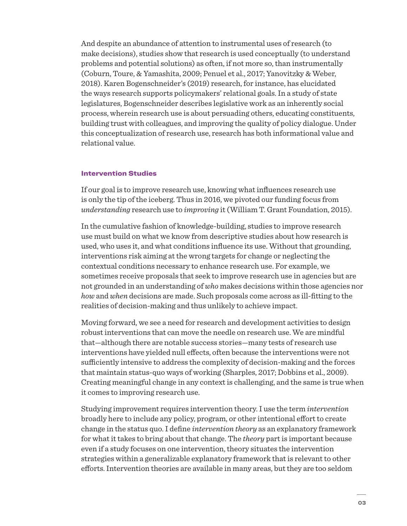And despite an abundance of attention to instrumental uses of research (to make decisions), studies show that research is used conceptually (to understand problems and potential solutions) as often, if not more so, than instrumentally (Coburn, Toure, & Yamashita, 2009; Penuel et al., 2017; Yanovitzky & Weber, 2018). Karen Bogenschneider's (2019) research, for instance, has elucidated the ways research supports policymakers' relational goals. In a study of state legislatures, Bogenschneider describes legislative work as an inherently social process, wherein research use is about persuading others, educating constituents, building trust with colleagues, and improving the quality of policy dialogue. Under this conceptualization of research use, research has both informational value and relational value.

#### Intervention Studies

If our goal is to improve research use, knowing what influences research use is only the tip of the iceberg. Thus in 2016, we pivoted our funding focus from *understanding* research use to *improving* it (William T. Grant Foundation, 2015).

In the cumulative fashion of knowledge-building, studies to improve research use must build on what we know from descriptive studies about how research is used, who uses it, and what conditions influence its use. Without that grounding, interventions risk aiming at the wrong targets for change or neglecting the contextual conditions necessary to enhance research use. For example, we sometimes receive proposals that seek to improve research use in agencies but are not grounded in an understanding of *who* makes decisions within those agencies nor *how* and *when* decisions are made. Such proposals come across as ill-fitting to the realities of decision-making and thus unlikely to achieve impact.

Moving forward, we see a need for research and development activities to design robust interventions that can move the needle on research use. We are mindful that—although there are notable success stories—many tests of research use interventions have yielded null effects, often because the interventions were not sufficiently intensive to address the complexity of decision-making and the forces that maintain status-quo ways of working (Sharples, 2017; Dobbins et al., 2009). Creating meaningful change in any context is challenging, and the same is true when it comes to improving research use.

Studying improvement requires intervention theory. I use the term *intervention* broadly here to include any policy, program, or other intentional effort to create change in the status quo. I define *intervention theory* as an explanatory framework for what it takes to bring about that change. The *theory* part is important because even if a study focuses on one intervention, theory situates the intervention strategies within a generalizable explanatory framework that is relevant to other efforts. Intervention theories are available in many areas, but they are too seldom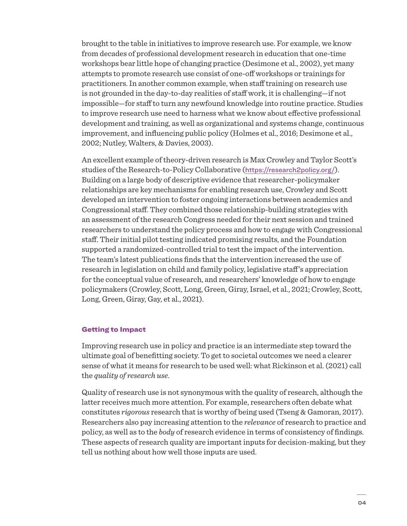brought to the table in initiatives to improve research use. For example, we know from decades of professional development research in education that one-time workshops bear little hope of changing practice (Desimone et al., 2002), yet many attempts to promote research use consist of one-off workshops or trainings for practitioners. In another common example, when staff training on research use is not grounded in the day-to-day realities of staff work, it is challenging—if not impossible—for staff to turn any newfound knowledge into routine practice. Studies to improve research use need to harness what we know about effective professional development and training, as well as organizational and systems change, continuous improvement, and influencing public policy (Holmes et al., 2016; Desimone et al., 2002; Nutley, Walters, & Davies, 2003).

An excellent example of theory-driven research is Max Crowley and Taylor Scott's studies of the Research-to-Policy Collaborative (<https://research2policy.org/>). Building on a large body of descriptive evidence that researcher-policymaker relationships are key mechanisms for enabling research use, Crowley and Scott developed an intervention to foster ongoing interactions between academics and Congressional staff. They combined those relationship-building strategies with an assessment of the research Congress needed for their next session and trained researchers to understand the policy process and how to engage with Congressional staff. Their initial pilot testing indicated promising results, and the Foundation supported a randomized-controlled trial to test the impact of the intervention. The team's latest publications finds that the intervention increased the use of research in legislation on child and family policy, legislative staff 's appreciation for the conceptual value of research, and researchers' knowledge of how to engage policymakers (Crowley, Scott, Long, Green, Giray, Israel, et al., 2021; Crowley, Scott, Long, Green, Giray, Gay, et al., 2021).

## Getting to Impact

Improving research use in policy and practice is an intermediate step toward the ultimate goal of benefitting society. To get to societal outcomes we need a clearer sense of what it means for research to be used well: what Rickinson et al. (2021) call the *quality of research use*.

Quality of research use is not synonymous with the quality of research, although the latter receives much more attention. For example, researchers often debate what constitutes *rigorous* research that is worthy of being used (Tseng & Gamoran, 2017). Researchers also pay increasing attention to the *relevance* of research to practice and policy, as well as to the *body* of research evidence in terms of consistency of findings. These aspects of research quality are important inputs for decision-making, but they tell us nothing about how well those inputs are used.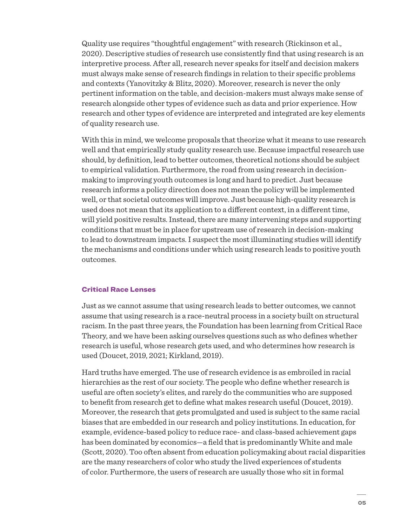Quality use requires "thoughtful engagement" with research (Rickinson et al., 2020). Descriptive studies of research use consistently find that using research is an interpretive process. After all, research never speaks for itself and decision makers must always make sense of research findings in relation to their specific problems and contexts (Yanovitzky & Blitz, 2020). Moreover, research is never the only pertinent information on the table, and decision-makers must always make sense of research alongside other types of evidence such as data and prior experience. How research and other types of evidence are interpreted and integrated are key elements of quality research use.

With this in mind, we welcome proposals that theorize what it means to use research well and that empirically study quality research use. Because impactful research use should, by definition, lead to better outcomes, theoretical notions should be subject to empirical validation. Furthermore, the road from using research in decisionmaking to improving youth outcomes is long and hard to predict. Just because research informs a policy direction does not mean the policy will be implemented well, or that societal outcomes will improve. Just because high-quality research is used does not mean that its application to a different context, in a different time, will yield positive results. Instead, there are many intervening steps and supporting conditions that must be in place for upstream use of research in decision-making to lead to downstream impacts. I suspect the most illuminating studies will identify the mechanisms and conditions under which using research leads to positive youth outcomes.

## Critical Race Lenses

Just as we cannot assume that using research leads to better outcomes, we cannot assume that using research is a race-neutral process in a society built on structural racism. In the past three years, the Foundation has been learning from Critical Race Theory, and we have been asking ourselves questions such as who defines whether research is useful, whose research gets used, and who determines how research is used (Doucet, 2019, 2021; Kirkland, 2019).

Hard truths have emerged. The use of research evidence is as embroiled in racial hierarchies as the rest of our society. The people who define whether research is useful are often society's elites, and rarely do the communities who are supposed to benefit from research get to define what makes research useful (Doucet, 2019). Moreover, the research that gets promulgated and used is subject to the same racial biases that are embedded in our research and policy institutions. In education, for example, evidence-based policy to reduce race- and class-based achievement gaps has been dominated by economics—a field that is predominantly White and male (Scott, 2020). Too often absent from education policymaking about racial disparities are the many researchers of color who study the lived experiences of students of color. Furthermore, the users of research are usually those who sit in formal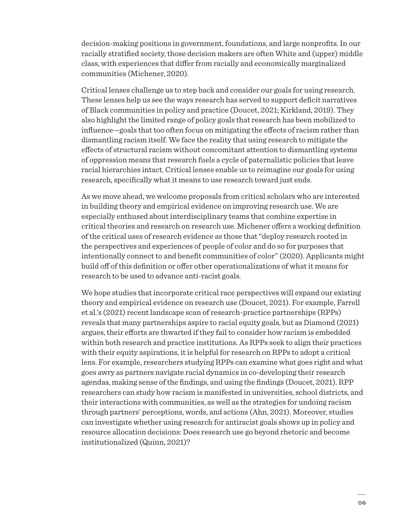decision-making positions in government, foundations, and large nonprofits. In our racially stratified society, those decision makers are often White and (upper) middle class, with experiences that differ from racially and economically marginalized communities (Michener, 2020).

Critical lenses challenge us to step back and consider our goals for using research. These lenses help us see the ways research has served to support deficit narratives of Black communities in policy and practice (Doucet, 2021; Kirkland, 2019). They also highlight the limited range of policy goals that research has been mobilized to influence—goals that too often focus on mitigating the effects of racism rather than dismantling racism itself. We face the reality that using research to mitigate the effects of structural racism without concomitant attention to dismantling systems of oppression means that research fuels a cycle of paternalistic policies that leave racial hierarchies intact. Critical lenses enable us to reimagine our goals for using research, specifically what it means to use research toward just ends.

As we move ahead, we welcome proposals from critical scholars who are interested in building theory and empirical evidence on improving research use. We are especially enthused about interdisciplinary teams that combine expertise in critical theories and research on research use. Michener offers a working definition of the critical uses of research evidence as those that "deploy research rooted in the perspectives and experiences of people of color and do so for purposes that intentionally connect to and benefit communities of color" (2020). Applicants might build off of this definition or offer other operationalizations of what it means for research to be used to advance anti-racist goals.

We hope studies that incorporate critical race perspectives will expand our existing theory and empirical evidence on research use (Doucet, 2021). For example, Farrell et al.'s (2021) recent landscape scan of research-practice partnerships (RPPs) reveals that many partnerships aspire to racial equity goals, but as Diamond (2021) argues, their efforts are thwarted if they fail to consider how racism is embedded within both research and practice institutions. As RPPs seek to align their practices with their equity aspirations, it is helpful for research on RPPs to adopt a critical lens. For example, researchers studying RPPs can examine what goes right and what goes awry as partners navigate racial dynamics in co-developing their research agendas, making sense of the findings, and using the findings (Doucet, 2021). RPP researchers can study how racism is manifested in universities, school districts, and their interactions with communities, as well as the strategies for undoing racism through partners' perceptions, words, and actions (Ahn, 2021). Moreover, studies can investigate whether using research for antiracist goals shows up in policy and resource allocation decisions: Does research use go beyond rhetoric and become institutionalized (Quinn, 2021)?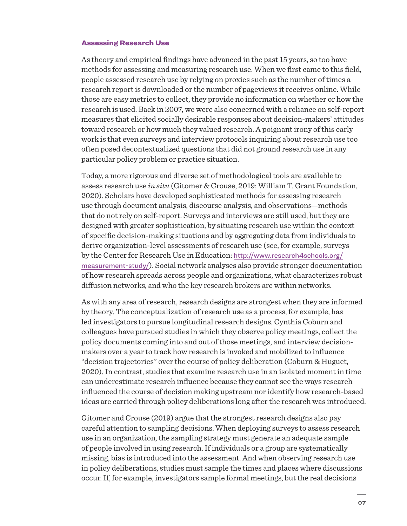#### Assessing Research Use

As theory and empirical findings have advanced in the past 15 years, so too have methods for assessing and measuring research use. When we first came to this field, people assessed research use by relying on proxies such as the number of times a research report is downloaded or the number of pageviews it receives online. While those are easy metrics to collect, they provide no information on whether or how the research is used. Back in 2007, we were also concerned with a reliance on self-report measures that elicited socially desirable responses about decision-makers' attitudes toward research or how much they valued research. A poignant irony of this early work is that even surveys and interview protocols inquiring about research use too often posed decontextualized questions that did not ground research use in any particular policy problem or practice situation.

Today, a more rigorous and diverse set of methodological tools are available to assess research use *in situ* (Gitomer & Crouse, 2019; William T. Grant Foundation, 2020). Scholars have developed sophisticated methods for assessing research use through document analysis, discourse analysis, and observations—methods that do not rely on self-report. Surveys and interviews are still used, but they are designed with greater sophistication, by situating research use within the context of specific decision-making situations and by aggregating data from individuals to derive organization-level assessments of research use (see, for example, surveys by the Center for Research Use in Education: [http://www.research4schools.org/](http://www.research4schools.org/measurement-study/) [measurement-study/](http://www.research4schools.org/measurement-study/)). Social network analyses also provide stronger documentation of how research spreads across people and organizations, what characterizes robust diffusion networks, and who the key research brokers are within networks.

As with any area of research, research designs are strongest when they are informed by theory. The conceptualization of research use as a process, for example, has led investigators to pursue longitudinal research designs. Cynthia Coburn and colleagues have pursued studies in which they observe policy meetings, collect the policy documents coming into and out of those meetings, and interview decisionmakers over a year to track how research is invoked and mobilized to influence "decision trajectories" over the course of policy deliberation (Coburn & Huguet, 2020). In contrast, studies that examine research use in an isolated moment in time can underestimate research influence because they cannot see the ways research influenced the course of decision making upstream nor identify how research-based ideas are carried through policy deliberations long after the research was introduced.

Gitomer and Crouse (2019) argue that the strongest research designs also pay careful attention to sampling decisions. When deploying surveys to assess research use in an organization, the sampling strategy must generate an adequate sample of people involved in using research. If individuals or a group are systematically missing, bias is introduced into the assessment. And when observing research use in policy deliberations, studies must sample the times and places where discussions occur. If, for example, investigators sample formal meetings, but the real decisions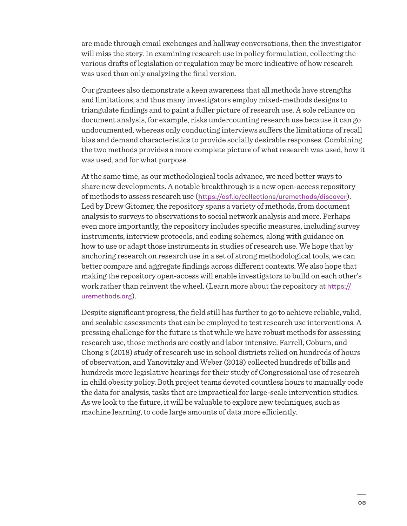are made through email exchanges and hallway conversations, then the investigator will miss the story. In examining research use in policy formulation, collecting the various drafts of legislation or regulation may be more indicative of how research was used than only analyzing the final version.

Our grantees also demonstrate a keen awareness that all methods have strengths and limitations, and thus many investigators employ mixed-methods designs to triangulate findings and to paint a fuller picture of research use. A sole reliance on document analysis, for example, risks undercounting research use because it can go undocumented, whereas only conducting interviews suffers the limitations of recall bias and demand characteristics to provide socially desirable responses. Combining the two methods provides a more complete picture of what research was used, how it was used, and for what purpose.

At the same time, as our methodological tools advance, we need better ways to share new developments. A notable breakthrough is a new open-access repository of methods to assess research use (<https://osf.io/collections/uremethods/discover>). Led by Drew Gitomer, the repository spans a variety of methods, from document analysis to surveys to observations to social network analysis and more. Perhaps even more importantly, the repository includes specific measures, including survey instruments, interview protocols, and coding schemes, along with guidance on how to use or adapt those instruments in studies of research use. We hope that by anchoring research on research use in a set of strong methodological tools, we can better compare and aggregate findings across different contexts. We also hope that making the repository open-access will enable investigators to build on each other's work rather than reinvent the wheel. (Learn more about the repository at [https://](https://uremethods.org) [uremethods.org](https://uremethods.org)).

Despite significant progress, the field still has further to go to achieve reliable, valid, and scalable assessments that can be employed to test research use interventions. A pressing challenge for the future is that while we have robust methods for assessing research use, those methods are costly and labor intensive. Farrell, Coburn, and Chong's (2018) study of research use in school districts relied on hundreds of hours of observation, and Yanovitzky and Weber (2018) collected hundreds of bills and hundreds more legislative hearings for their study of Congressional use of research in child obesity policy. Both project teams devoted countless hours to manually code the data for analysis, tasks that are impractical for large-scale intervention studies. As we look to the future, it will be valuable to explore new techniques, such as machine learning, to code large amounts of data more efficiently.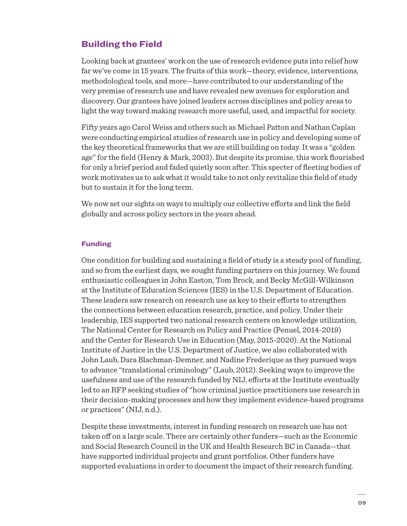# Building the Field

Looking back at grantees' work on the use of research evidence puts into relief how far we've come in 15 years. The fruits of this work—theory, evidence, interventions, methodological tools, and more—have contributed to our understanding of the very premise of research use and have revealed new avenues for exploration and discovery. Our grantees have joined leaders across disciplines and policy areas to light the way toward making research more useful, used, and impactful for society.

Fifty years ago Carol Weiss and others such as Michael Patton and Nathan Caplan were conducting empirical studies of research use in policy and developing some of the key theoretical frameworks that we are still building on today. It was a "golden age" for the field (Henry & Mark, 2003). But despite its promise, this work flourished for only a brief period and faded quietly soon after. This specter of fleeting bodies of work motivates us to ask what it would take to not only revitalize this field of study but to sustain it for the long term.

We now set our sights on ways to multiply our collective efforts and link the field globally and across policy sectors in the years ahead.

#### Funding

One condition for building and sustaining a field of study is a steady pool of funding, and so from the earliest days, we sought funding partners on this journey. We found enthusiastic colleagues in John Easton, Tom Brock, and Becky McGill-Wilkinson at the Institute of Education Sciences (IES) in the U.S. Department of Education. These leaders saw research on research use as key to their efforts to strengthen the connections between education research, practice, and policy. Under their leadership, IES supported two national research centers on knowledge utilization, The National Center for Research on Policy and Practice (Penuel, 2014-2019) and the Center for Research Use in Education (May, 2015-2020). At the National Institute of Justice in the U.S. Department of Justice, we also collaborated with John Laub, Dara Blachman-Demner, and Nadine Frederique as they pursued ways to advance "translational criminology" (Laub, 2012). Seeking ways to improve the usefulness and use of the research funded by NIJ, efforts at the Institute eventually led to an RFP seeking studies of "how criminal justice practitioners use research in their decision-making processes and how they implement evidence-based programs or practices" (NIJ, n.d.).

Despite these investments, interest in funding research on research use has not taken off on a large scale. There are certainly other funders—such as the Economic and Social Research Council in the UK and Health Research BC in Canada—that have supported individual projects and grant portfolios. Other funders have supported evaluations in order to document the impact of their research funding.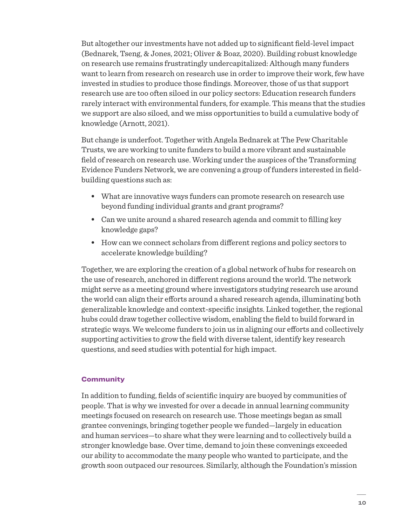But altogether our investments have not added up to significant field-level impact (Bednarek, Tseng, & Jones, 2021; Oliver & Boaz, 2020). Building robust knowledge on research use remains frustratingly undercapitalized: Although many funders want to learn from research on research use in order to improve their work, few have invested in studies to produce those findings. Moreover, those of us that support research use are too often siloed in our policy sectors: Education research funders rarely interact with environmental funders, for example. This means that the studies we support are also siloed, and we miss opportunities to build a cumulative body of knowledge (Arnott, 2021).

But change is underfoot. Together with Angela Bednarek at The Pew Charitable Trusts, we are working to unite funders to build a more vibrant and sustainable field of research on research use. Working under the auspices of the Transforming Evidence Funders Network, we are convening a group of funders interested in fieldbuilding questions such as:

- **•** What are innovative ways funders can promote research on research use beyond funding individual grants and grant programs?
- **•** Can we unite around a shared research agenda and commit to filling key knowledge gaps?
- **•** How can we connect scholars from different regions and policy sectors to accelerate knowledge building?

Together, we are exploring the creation of a global network of hubs for research on the use of research, anchored in different regions around the world. The network might serve as a meeting ground where investigators studying research use around the world can align their efforts around a shared research agenda, illuminating both generalizable knowledge and context-specific insights. Linked together, the regional hubs could draw together collective wisdom, enabling the field to build forward in strategic ways. We welcome funders to join us in aligning our efforts and collectively supporting activities to grow the field with diverse talent, identify key research questions, and seed studies with potential for high impact.

## **Community**

In addition to funding, fields of scientific inquiry are buoyed by communities of people. That is why we invested for over a decade in annual learning community meetings focused on research on research use. Those meetings began as small grantee convenings, bringing together people we funded—largely in education and human services—to share what they were learning and to collectively build a stronger knowledge base. Over time, demand to join these convenings exceeded our ability to accommodate the many people who wanted to participate, and the growth soon outpaced our resources. Similarly, although the Foundation's mission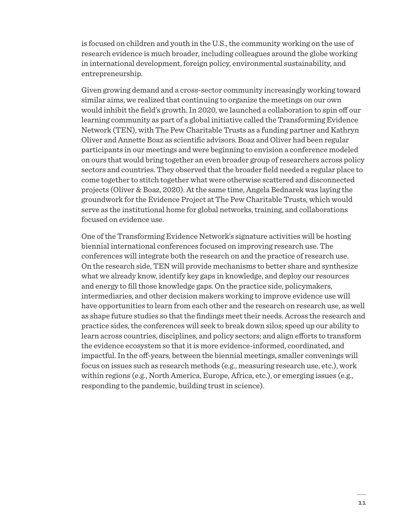is focused on children and youth in the U.S., the community working on the use of research evidence is much broader, including colleagues around the globe working in international development, foreign policy, environmental sustainability, and entrepreneurship.

Given growing demand and a cross-sector community increasingly working toward similar aims, we realized that continuing to organize the meetings on our own would inhibit the field's growth. In 2020, we launched a collaboration to spin off our learning community as part of a global initiative called the Transforming Evidence Network (TEN), with The Pew Charitable Trusts as a funding partner and Kathryn Oliver and Annette Boaz as scientific advisors. Boaz and Oliver had been regular participants in our meetings and were beginning to envision a conference modeled on ours that would bring together an even broader group of researchers across policy sectors and countries. They observed that the broader field needed a regular place to come together to stitch together what were otherwise scattered and disconnected projects (Oliver & Boaz, 2020). At the same time, Angela Bednarek was laying the groundwork for the Evidence Project at The Pew Charitable Trusts, which would serve as the institutional home for global networks, training, and collaborations focused on evidence use.

One of the Transforming Evidence Network's signature activities will be hosting biennial international conferences focused on improving research use. The conferences will integrate both the research on and the practice of research use. On the research side, TEN will provide mechanisms to better share and synthesize what we already know, identify key gaps in knowledge, and deploy our resources and energy to fill those knowledge gaps. On the practice side, policymakers, intermediaries, and other decision makers working to improve evidence use will have opportunities to learn from each other and the research on research use, as well as shape future studies so that the findings meet their needs. Across the research and practice sides, the conferences will seek to break down silos; speed up our ability to learn across countries, disciplines, and policy sectors; and align efforts to transform the evidence ecosystem so that it is more evidence-informed, coordinated, and impactful. In the off-years, between the biennial meetings, smaller convenings will focus on issues such as research methods (e.g., measuring research use, etc.), work within regions (e.g., North America, Europe, Africa, etc.), or emerging issues (e.g., responding to the pandemic, building trust in science).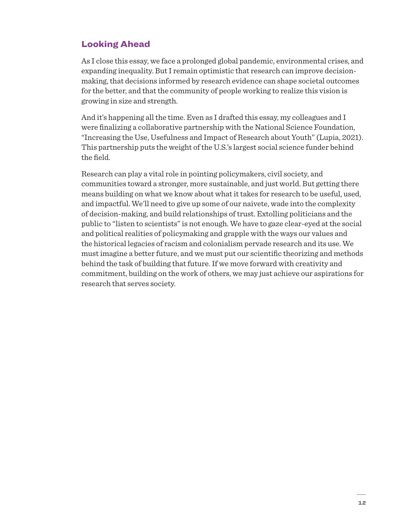# Looking Ahead

As I close this essay, we face a prolonged global pandemic, environmental crises, and expanding inequality. But I remain optimistic that research can improve decisionmaking, that decisions informed by research evidence can shape societal outcomes for the better, and that the community of people working to realize this vision is growing in size and strength.

And it's happening all the time. Even as I drafted this essay, my colleagues and I were finalizing a collaborative partnership with the National Science Foundation, "Increasing the Use, Usefulness and Impact of Research about Youth" (Lupia, 2021). This partnership puts the weight of the U.S.'s largest social science funder behind the field.

Research can play a vital role in pointing policymakers, civil society, and communities toward a stronger, more sustainable, and just world. But getting there means building on what we know about what it takes for research to be useful, used, and impactful. We'll need to give up some of our naivete, wade into the complexity of decision-making, and build relationships of trust. Extolling politicians and the public to "listen to scientists" is not enough. We have to gaze clear-eyed at the social and political realities of policymaking and grapple with the ways our values and the historical legacies of racism and colonialism pervade research and its use. We must imagine a better future, and we must put our scientific theorizing and methods behind the task of building that future. If we move forward with creativity and commitment, building on the work of others, we may just achieve our aspirations for research that serves society.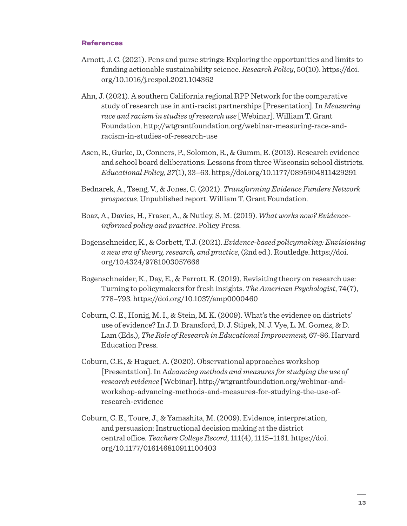#### **References**

- Arnott, J. C. (2021). Pens and purse strings: Exploring the opportunities and limits to funding actionable sustainability science. *Research Policy*, 50(10). [https://doi.](https://doi.org/10.1016/j.respol.2021.104362) [org/10.1016/j.respol.2021.104362](https://doi.org/10.1016/j.respol.2021.104362)
- Ahn, J. (2021). A southern California regional RPP Network for the comparative study of research use in anti-racist partnerships [Presentation]. In *Measuring race and racism in studies of research use* [Webinar]. William T. Grant Foundation. [http://wtgrantfoundation.org/webinar-measuring-race-and](http://wtgrantfoundation.org/webinar-measuring-race-and-racism-in-studies-of-research-use)[racism-in-studies-of-research-use](http://wtgrantfoundation.org/webinar-measuring-race-and-racism-in-studies-of-research-use)
- Asen, R., Gurke, D., Conners, P., Solomon, R., & Gumm, E. (2013). Research evidence and school board deliberations: Lessons from three Wisconsin school districts. *Educational Policy, 27*(1), 33–63.<https://doi.org/10.1177/0895904811429291>
- Bednarek, A., Tseng, V., & Jones, C. (2021). *Transforming Evidence Funders Network prospectus*. Unpublished report. William T. Grant Foundation.
- Boaz, A., Davies, H., Fraser, A., & Nutley, S. M. (2019). *What works now? Evidenceinformed policy and practice*. Policy Press.
- Bogenschneider, K., & Corbett, T.J. (2021). *Evidence-based policymaking: Envisioning a new era of theory, research, and practice*, (2nd ed.). Routledge. [https://doi.](https://doi.org/10.4324/9781003057666) [org/10.4324/9781003057666](https://doi.org/10.4324/9781003057666)
- Bogenschneider, K., Day, E., & Parrott, E. (2019). Revisiting theory on research use: Turning to policymakers for fresh insights. *The American Psychologist*, 74(7), 778–793. <https://doi.org/10.1037/amp0000460>
- Coburn, C. E., Honig, M. I., & Stein, M. K. (2009). What's the evidence on districts' use of evidence? In J. D. Bransford, D. J. Stipek, N. J. Vye, L. M. Gomez, & D. Lam (Eds.), *The Role of Research in Educational Improvement,* 67-86. Harvard Education Press.
- Coburn, C.E., & Huguet, A. (2020). Observational approaches workshop [Presentation]. In A*dvancing methods and measures for studying the use of research evidence* [Webinar]. [http://wtgrantfoundation.org/webinar-and](http://wtgrantfoundation.org/webinar-and-workshop-advancing-methods-and-measures-for-studying-the-use-of-research-evidence)[workshop-advancing-methods-and-measures-for-studying-the-use-of](http://wtgrantfoundation.org/webinar-and-workshop-advancing-methods-and-measures-for-studying-the-use-of-research-evidence)[research-evidence](http://wtgrantfoundation.org/webinar-and-workshop-advancing-methods-and-measures-for-studying-the-use-of-research-evidence)
- Coburn, C. E., Toure, J., & Yamashita, M. (2009). Evidence, interpretation, and persuasion: Instructional decision making at the district central office. *Teachers College Record*, 111(4), 1115–1161. [https://doi.](https://doi.org/10.1177/016146810911100403) [org/10.1177/016146810911100403](https://doi.org/10.1177/016146810911100403)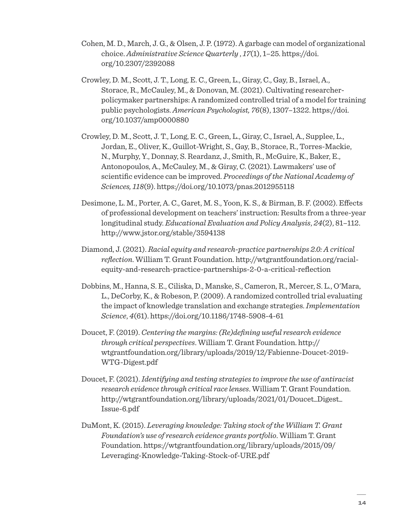- Cohen, M. D., March, J. G., & Olsen, J. P. (1972). A garbage can model of organizational choice. *Administrative Science Quarterly* , *17*(1), 1–25. [https://doi.](https://doi.org/10.2307/2392088) [org/10.2307/2392088](https://doi.org/10.2307/2392088)
- Crowley, D. M., Scott, J. T., Long, E. C., Green, L., Giray, C., Gay, B., Israel, A., Storace, R., McCauley, M., & Donovan, M. (2021). Cultivating researcherpolicymaker partnerships: A randomized controlled trial of a model for training public psychologists. *American Psychologist, 76*(8), 1307–1322. [https://doi.](https://doi.org/10.1037/amp0000880) [org/10.1037/amp0000880](https://doi.org/10.1037/amp0000880)
- Crowley, D. M., Scott, J. T., Long, E. C., Green, L., Giray, C., Israel, A., Supplee, L., Jordan, E., Oliver, K., Guillot-Wright, S., Gay, B., Storace, R., Torres-Mackie, N., Murphy, Y., Donnay, S. Reardanz, J., Smith, R., McGuire, K., Baker, E., Antonopoulos, A., McCauley, M., & Giray, C. (2021). Lawmakers' use of scientific evidence can be improved. *Proceedings of the National Academy of Sciences, 118*(9). <https://doi.org/10.1073/pnas.2012955118>
- Desimone, L. M., Porter, A. C., Garet, M. S., Yoon, K. S., & Birman, B. F. (2002). Effects of professional development on teachers' instruction: Results from a three-year longitudinal study. *Educational Evaluation and Policy Analysis*, *24*(2), 81–112. <http://www.jstor.org/stable/3594138>
- Diamond, J. (2021). *Racial equity and research-practice partnerships 2.0: A critical reflection*. William T. Grant Foundation. [http://wtgrantfoundation.org/racial](http://wtgrantfoundation.org/racial-equity-and-research-practice-partnerships-2-0-a-critical-reflection)[equity-and-research-practice-partnerships-2-0-a-critical-reflection](http://wtgrantfoundation.org/racial-equity-and-research-practice-partnerships-2-0-a-critical-reflection)
- Dobbins, M., Hanna, S. E., Ciliska, D., Manske, S., Cameron, R., Mercer, S. L., O'Mara, L., DeCorby, K., & Robeson, P. (2009). A randomized controlled trial evaluating the impact of knowledge translation and exchange strategies. *Implementation Science*, *4*(61).<https://doi.org/10.1186/1748-5908-4-61>
- Doucet, F. (2019). *Centering the margins: (Re)defining useful research evidence through critical perspectives*. William T. Grant Foundation. [http://](http://wtgrantfoundation.org/library/uploads/2019/12/Fabienne-Doucet-2019-WTG-Digest.pdf) [wtgrantfoundation.org/library/uploads/2019/12/Fabienne-Doucet-2019-](http://wtgrantfoundation.org/library/uploads/2019/12/Fabienne-Doucet-2019-WTG-Digest.pdf) [WTG-Digest.pdf](http://wtgrantfoundation.org/library/uploads/2019/12/Fabienne-Doucet-2019-WTG-Digest.pdf)
- Doucet, F. (2021). *Identifying and testing strategies to improve the use of antiracist research evidence through critical race lenses*. William T. Grant Foundation. [http://wtgrantfoundation.org/library/uploads/2021/01/Doucet\\_Digest\\_](http://wtgrantfoundation.org/library/uploads/2021/01/Doucet_Digest_Issue-6.pdf) [Issue-6.pdf](http://wtgrantfoundation.org/library/uploads/2021/01/Doucet_Digest_Issue-6.pdf)
- DuMont, K. (2015). *Leveraging knowledge: Taking stock of the William T. Grant Foundation's use of research evidence grants portfolio*. William T. Grant Foundation. [https://wtgrantfoundation.org/library/uploads/2015/09/](https://wtgrantfoundation.org/library/uploads/2015/09/Leveraging-Knowledge-Taking-Stock-of-URE.pdf) [Leveraging-Knowledge-Taking-Stock-of-URE.pdf](https://wtgrantfoundation.org/library/uploads/2015/09/Leveraging-Knowledge-Taking-Stock-of-URE.pdf)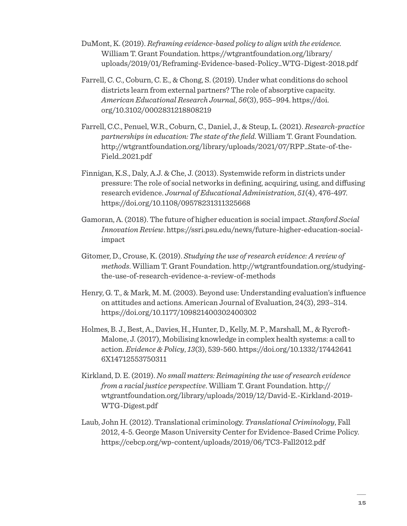- DuMont, K. (2019). *Reframing evidence-based policy to align with the evidence.* William T. Grant Foundation. [https://wtgrantfoundation.org/library/](https://wtgrantfoundation.org/library/uploads/2019/01/Reframing-Evidence-based-Policy_WTG-Digest-2018.pdf) [uploads/2019/01/Reframing-Evidence-based-Policy\\_WTG-Digest-2018.pdf](https://wtgrantfoundation.org/library/uploads/2019/01/Reframing-Evidence-based-Policy_WTG-Digest-2018.pdf)
- Farrell, C. C., Coburn, C. E., & Chong, S. (2019). Under what conditions do school districts learn from external partners? The role of absorptive capacity. *American Educational Research Journal*, *56*(3), 955–994. [https://doi.](https://doi.org/10.3102/0002831218808219) [org/10.3102/0002831218808219](https://doi.org/10.3102/0002831218808219)
- Farrell, C.C., Penuel, W.R., Coburn, C., Daniel, J., & Steup, L. (2021). *Research-practice partnerships in education: The state of the field*. William T. Grant Foundation. [http://wtgrantfoundation.org/library/uploads/2021/07/RPP\\_State-of-the-](http://wtgrantfoundation.org/library/uploads/2021/07/RPP_State-of-the-Field_2021.pdf)[Field\\_2021.pdf](http://wtgrantfoundation.org/library/uploads/2021/07/RPP_State-of-the-Field_2021.pdf)
- Finnigan, K.S., Daly, A.J. & Che, J. (2013). Systemwide reform in districts under pressure: The role of social networks in defining, acquiring, using, and diffusing research evidence. *Journal of Educational Administration*, *51*(4), 476-497. <https://doi.org/10.1108/09578231311325668>
- Gamoran, A. (2018). The future of higher education is social impact. *Stanford Social Innovation Review*. [https://ssri.psu.edu/news/future-higher-education-social](https://ssri.psu.edu/news/future-higher-education-social-impact)[impact](https://ssri.psu.edu/news/future-higher-education-social-impact)
- Gitomer, D., Crouse, K. (2019). *Studying the use of research evidence: A review of methods*. William T. Grant Foundation. [http://wtgrantfoundation.org/studying](http://wtgrantfoundation.org/studying-the-use-of-research-evidence-a-review-of-methods)[the-use-of-research-evidence-a-review-of-methods](http://wtgrantfoundation.org/studying-the-use-of-research-evidence-a-review-of-methods)
- Henry, G. T., & Mark, M. M. (2003). Beyond use: Understanding evaluation's influence on attitudes and actions. American Journal of Evaluation, 24(3), 293–314. <https://doi.org/10.1177/109821400302400302>
- Holmes, B. J., Best, A., Davies, H., Hunter, D., Kelly, M. P., Marshall, M., & Rycroft-Malone, J. (2017), Mobilising knowledge in complex health systems: a call to action. *Evidence & Policy*, *13*(3), 539-560. [https://doi.org/10.1332/17442641](https://doi.org/10.1332/174426416X14712553750311) [6X14712553750311](https://doi.org/10.1332/174426416X14712553750311)
- Kirkland, D. E. (2019). *No small matters: Reimagining the use of research evidence from a racial justice perspective*. William T. Grant Foundation. [http://](http://wtgrantfoundation.org/library/uploads/2019/12/David-E.-Kirkland-2019-WTG-Digest.pdf) [wtgrantfoundation.org/library/uploads/2019/12/David-E.-Kirkland-2019-](http://wtgrantfoundation.org/library/uploads/2019/12/David-E.-Kirkland-2019-WTG-Digest.pdf) [WTG-Digest.pdf](http://wtgrantfoundation.org/library/uploads/2019/12/David-E.-Kirkland-2019-WTG-Digest.pdf)
- Laub, John H. (2012). Translational criminology. *Translational Criminology*, Fall 2012, 4-5. George Mason University Center for Evidence-Based Crime Policy. <https://cebcp.org/wp-content/uploads/2019/06/TC3-Fall2012.pdf>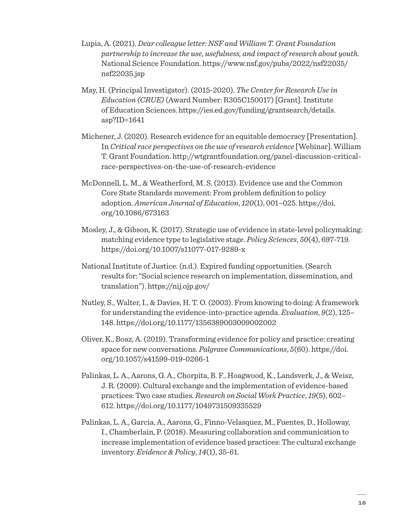- Lupia, A. (2021). *Dear colleague letter: NSF and William T. Grant Foundation partnership to increase the use, usefulness, and impact of research about youth*. National Science Foundation. [https://www.nsf.gov/pubs/2022/nsf22035/](https://www.nsf.gov/pubs/2022/nsf22035/nsf22035.jsp) [nsf22035.jsp](https://www.nsf.gov/pubs/2022/nsf22035/nsf22035.jsp)
- May, H. (Principal Investigator). (2015-2020). *The Center for Research Use in Education (CRUE)* (Award Number: R305C150017) [Grant]. Institute of Education Sciences. [https://ies.ed.gov/funding/grantsearch/details.](https://ies.ed.gov/funding/grantsearch/details.asp?ID=1641) [asp?ID=1641](https://ies.ed.gov/funding/grantsearch/details.asp?ID=1641)
- Michener, J. (2020). Research evidence for an equitable democracy [Presentation]. In *Critical race perspectives on the use of research evidence* [Webinar]. William T. Grant Foundation. [http://wtgrantfoundation.org/panel-discussion-critical](http://wtgrantfoundation.org/panel-discussion-critical-race-perspectives-on-the-use-of-research-evidence)[race-perspectives-on-the-use-of-research-evidence](http://wtgrantfoundation.org/panel-discussion-critical-race-perspectives-on-the-use-of-research-evidence)
- McDonnell, L. M., & Weatherford, M. S. (2013). Evidence use and the Common Core State Standards movement: From problem definition to policy adoption. *American Journal of Education*, *120*(1), 001–025. [https://doi.](https://doi.org/10.1086/673163) [org/10.1086/673163](https://doi.org/10.1086/673163)
- Mosley, J., & Gibson, K. (2017). Strategic use of evidence in state-level policymaking: matching evidence type to legislative stage. *Policy Sciences*, *50*(4), 697-719. https://doi.org/10.1007/s11077-017-9289-x
- National Institute of Justice. (n.d.). Expired funding opportunities. (Search results for: "Social science research on implementation, dissemination, and translation").<https://nij.ojp.gov/>
- Nutley, S., Walter, I., & Davies, H. T. O. (2003). From knowing to doing: A framework for understanding the evidence-into-practice agenda. *Evaluation*, *9*(2), 125– 148.<https://doi.org/10.1177/1356389003009002002>
- Oliver, K., Boaz, A. (2019). Transforming evidence for policy and practice: creating space for new conversations. *Palgrave Communications*, *5*(60). [https://doi.](https://doi.org/10.1057/s41599-019-0266-1) [org/10.1057/s41599-019-0266-1](https://doi.org/10.1057/s41599-019-0266-1)
- Palinkas, L. A., Aarons, G. A., Chorpita, B. F., Hoagwood, K., Landsverk, J., & Weisz, J. R. (2009). Cultural exchange and the implementation of evidence-based practices: Two case studies. *Research on Social Work Practice*, *19*(5), 602– 612.<https://doi.org/10.1177/1049731509335529>
- Palinkas, L. A., Garcia, A., Aarons, G., Finno-Velasquez, M., Fuentes, D., Holloway, I., Chamberlain, P. (2018). Measuring collaboration and communication to increase implementation of evidence based practices: The cultural exchange inventory. *Evidence & Policy*, *14*(1), 35-61.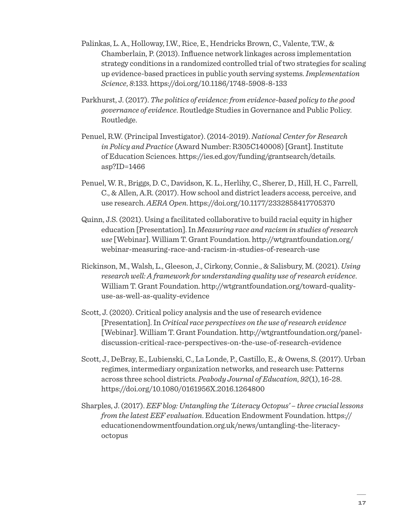- Palinkas, L. A., Holloway, I.W., Rice, E., Hendricks Brown, C., Valente, T.W., & Chamberlain, P. (2013). Influence network linkages across implementation strategy conditions in a randomized controlled trial of two strategies for scaling up evidence-based practices in public youth serving systems. *Implementation Science*, *8*:133. <https://doi.org/10.1186/1748-5908-8-133>
- Parkhurst, J. (2017). *The politics of evidence: from evidence-based policy to the good governance of evidence*. Routledge Studies in Governance and Public Policy. Routledge.
- Penuel, R.W. (Principal Investigator). (2014-2019). *National Center for Research in Policy and Practice* (Award Number: R305C140008) [Grant]. Institute of Education Sciences. [https://ies.ed.gov/funding/grantsearch/details.](https://ies.ed.gov/funding/grantsearch/details.asp?ID=1466) [asp?ID=1466](https://ies.ed.gov/funding/grantsearch/details.asp?ID=1466)
- Penuel, W. R., Briggs, D. C., Davidson, K. L., Herlihy, C., Sherer, D., Hill, H. C., Farrell, C., & Allen, A.R. (2017). How school and district leaders access, perceive, and use research. *AERA Open*.<https://doi.org/10.1177/2332858417705370>
- Quinn, J.S. (2021). Using a facilitated collaborative to build racial equity in higher education [Presentation]. In *Measuring race and racism in studies of research use* [Webinar]. William T. Grant Foundation. [http://wtgrantfoundation.org/](http://wtgrantfoundation.org/webinar-measuring-race-and-racism-in-studies-of-research-use) [webinar-measuring-race-and-racism-in-studies-of-research-use](http://wtgrantfoundation.org/webinar-measuring-race-and-racism-in-studies-of-research-use)
- Rickinson, M., Walsh, L., Gleeson, J., Cirkony, Connie., & Salisbury, M. (2021). *Using research well: A framework for understanding quality use of research evidence*. William T. Grant Foundation. [http://wtgrantfoundation.org/toward-quality](http://wtgrantfoundation.org/toward-quality-use-as-well-as-quality-evidence)[use-as-well-as-quality-evidence](http://wtgrantfoundation.org/toward-quality-use-as-well-as-quality-evidence)
- Scott, J. (2020). Critical policy analysis and the use of research evidence [Presentation]. In *Critical race perspectives on the use of research evidence* [Webinar]. William T. Grant Foundation. [http://wtgrantfoundation.org/panel](http://wtgrantfoundation.org/panel-discussion-critical-race-perspectives-on-the-use-of-research-evidence)[discussion-critical-race-perspectives-on-the-use-of-research-evidence](http://wtgrantfoundation.org/panel-discussion-critical-race-perspectives-on-the-use-of-research-evidence)
- Scott, J., DeBray, E., Lubienski, C., La Londe, P., Castillo, E., & Owens, S. (2017). Urban regimes, intermediary organization networks, and research use: Patterns across three school districts. *Peabody Journal of Education*, *92*(1), 16-28. https://doi.org/10.1080/0161956X.2016.1264800
- Sharples, J. (2017). *EEF blog: Untangling the 'Literacy Octopus' three crucial lessons from the latest EEF evaluation*. Education Endowment Foundation. [https://](https://educationendowmentfoundation.org.uk/news/untangling-the-literacy-octopus) [educationendowmentfoundation.org.uk/news/untangling-the-literacy](https://educationendowmentfoundation.org.uk/news/untangling-the-literacy-octopus)[octopus](https://educationendowmentfoundation.org.uk/news/untangling-the-literacy-octopus)